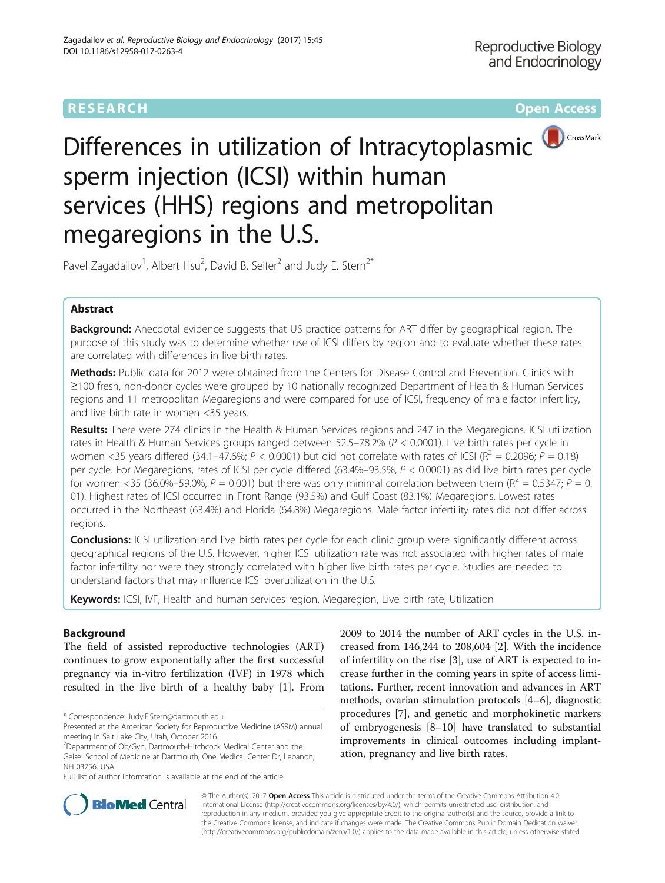# RESEARCH **RESEARCH CONSUMING THE CONSUMING THE CONSUMING TENS**



Differences in utilization of Intracytoplasmic **OCCOSSMark** sperm injection (ICSI) within human services (HHS) regions and metropolitan megaregions in the U.S.

Pavel Zagadailov<sup>1</sup>, Albert Hsu<sup>2</sup>, David B. Seifer<sup>2</sup> and Judy E. Stern<sup>2\*</sup>

## Abstract

Background: Anecdotal evidence suggests that US practice patterns for ART differ by geographical region. The purpose of this study was to determine whether use of ICSI differs by region and to evaluate whether these rates are correlated with differences in live birth rates.

Methods: Public data for 2012 were obtained from the Centers for Disease Control and Prevention. Clinics with ≥100 fresh, non-donor cycles were grouped by 10 nationally recognized Department of Health & Human Services regions and 11 metropolitan Megaregions and were compared for use of ICSI, frequency of male factor infertility, and live birth rate in women <35 years.

Results: There were 274 clinics in the Health & Human Services regions and 247 in the Megaregions. ICSI utilization rates in Health & Human Services groups ranged between 52.5-78.2% (P < 0.0001). Live birth rates per cycle in women <35 years differed (34.1–47.6%; P < 0.0001) but did not correlate with rates of ICSI ( $R^2 = 0.2096$ ; P = 0.18) per cycle. For Megaregions, rates of ICSI per cycle differed (63.4%–93.5%, P < 0.0001) as did live birth rates per cycle for women <35 (36.0%–59.0%,  $P = 0.001$ ) but there was only minimal correlation between them (R<sup>2</sup> = 0.5347; P = 0. 01). Highest rates of ICSI occurred in Front Range (93.5%) and Gulf Coast (83.1%) Megaregions. Lowest rates occurred in the Northeast (63.4%) and Florida (64.8%) Megaregions. Male factor infertility rates did not differ across regions.

**Conclusions:** ICSI utilization and live birth rates per cycle for each clinic group were significantly different across geographical regions of the U.S. However, higher ICSI utilization rate was not associated with higher rates of male factor infertility nor were they strongly correlated with higher live birth rates per cycle. Studies are needed to understand factors that may influence ICSI overutilization in the U.S.

Keywords: ICSI, IVF, Health and human services region, Megaregion, Live birth rate, Utilization

## Background

The field of assisted reproductive technologies (ART) continues to grow exponentially after the first successful pregnancy via in-vitro fertilization (IVF) in 1978 which resulted in the live birth of a healthy baby [\[1](#page-5-0)]. From

\* Correspondence: [Judy.E.Stern@dartmouth.edu](mailto:Judy.E.Stern@dartmouth.edu)

2009 to 2014 the number of ART cycles in the U.S. increased from 146,244 to 208,604 [[2\]](#page-5-0). With the incidence of infertility on the rise [\[3](#page-5-0)], use of ART is expected to increase further in the coming years in spite of access limitations. Further, recent innovation and advances in ART methods, ovarian stimulation protocols [[4](#page-5-0)–[6\]](#page-5-0), diagnostic procedures [[7\]](#page-5-0), and genetic and morphokinetic markers of embryogenesis [\[8](#page-5-0)–[10\]](#page-5-0) have translated to substantial improvements in clinical outcomes including implantation, pregnancy and live birth rates.



© The Author(s). 2017 **Open Access** This article is distributed under the terms of the Creative Commons Attribution 4.0 International License [\(http://creativecommons.org/licenses/by/4.0/](http://creativecommons.org/licenses/by/4.0/)), which permits unrestricted use, distribution, and reproduction in any medium, provided you give appropriate credit to the original author(s) and the source, provide a link to the Creative Commons license, and indicate if changes were made. The Creative Commons Public Domain Dedication waiver [\(http://creativecommons.org/publicdomain/zero/1.0/](http://creativecommons.org/publicdomain/zero/1.0/)) applies to the data made available in this article, unless otherwise stated.

Presented at the American Society for Reproductive Medicine (ASRM) annual meeting in Salt Lake City, Utah, October 2016.

<sup>2</sup> Department of Ob/Gyn, Dartmouth-Hitchcock Medical Center and the Geisel School of Medicine at Dartmouth, One Medical Center Dr, Lebanon, NH 03756, USA

Full list of author information is available at the end of the article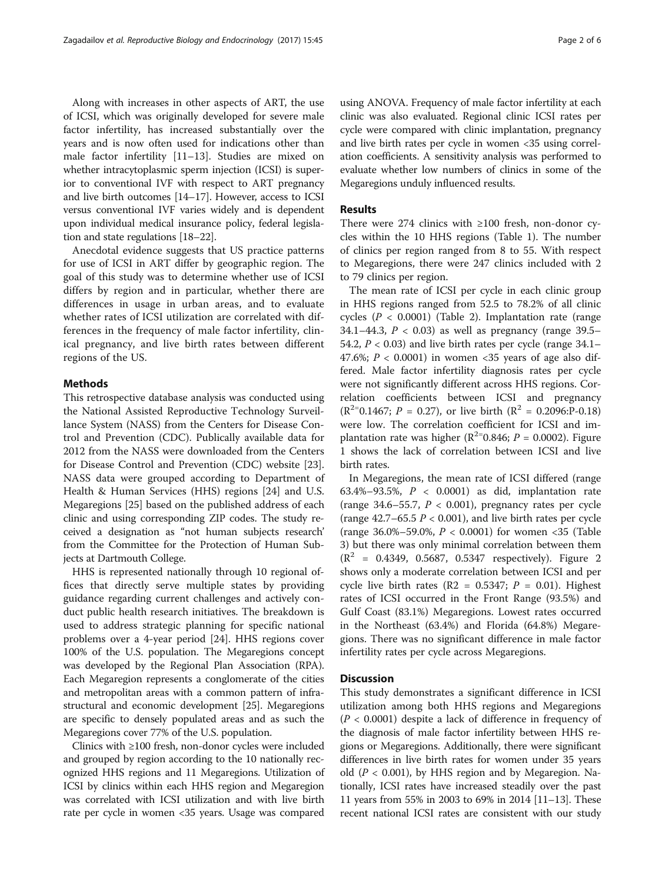Along with increases in other aspects of ART, the use of ICSI, which was originally developed for severe male factor infertility, has increased substantially over the years and is now often used for indications other than male factor infertility [\[11](#page-5-0)–[13\]](#page-5-0). Studies are mixed on whether intracytoplasmic sperm injection (ICSI) is superior to conventional IVF with respect to ART pregnancy and live birth outcomes [\[14](#page-5-0)–[17](#page-5-0)]. However, access to ICSI versus conventional IVF varies widely and is dependent upon individual medical insurance policy, federal legislation and state regulations [[18](#page-5-0)–[22\]](#page-5-0).

Anecdotal evidence suggests that US practice patterns for use of ICSI in ART differ by geographic region. The goal of this study was to determine whether use of ICSI differs by region and in particular, whether there are differences in usage in urban areas, and to evaluate whether rates of ICSI utilization are correlated with differences in the frequency of male factor infertility, clinical pregnancy, and live birth rates between different regions of the US.

## Methods

This retrospective database analysis was conducted using the National Assisted Reproductive Technology Surveillance System (NASS) from the Centers for Disease Control and Prevention (CDC). Publically available data for 2012 from the NASS were downloaded from the Centers for Disease Control and Prevention (CDC) website [\[23](#page-5-0)]. NASS data were grouped according to Department of Health & Human Services (HHS) regions [\[24\]](#page-5-0) and U.S. Megaregions [[25\]](#page-5-0) based on the published address of each clinic and using corresponding ZIP codes. The study received a designation as "not human subjects research' from the Committee for the Protection of Human Subjects at Dartmouth College.

HHS is represented nationally through 10 regional offices that directly serve multiple states by providing guidance regarding current challenges and actively conduct public health research initiatives. The breakdown is used to address strategic planning for specific national problems over a 4-year period [[24](#page-5-0)]. HHS regions cover 100% of the U.S. population. The Megaregions concept was developed by the Regional Plan Association (RPA). Each Megaregion represents a conglomerate of the cities and metropolitan areas with a common pattern of infrastructural and economic development [\[25\]](#page-5-0). Megaregions are specific to densely populated areas and as such the Megaregions cover 77% of the U.S. population.

Clinics with ≥100 fresh, non-donor cycles were included and grouped by region according to the 10 nationally recognized HHS regions and 11 Megaregions. Utilization of ICSI by clinics within each HHS region and Megaregion was correlated with ICSI utilization and with live birth rate per cycle in women <35 years. Usage was compared

using ANOVA. Frequency of male factor infertility at each clinic was also evaluated. Regional clinic ICSI rates per cycle were compared with clinic implantation, pregnancy and live birth rates per cycle in women <35 using correlation coefficients. A sensitivity analysis was performed to evaluate whether low numbers of clinics in some of the Megaregions unduly influenced results.

### Results

There were 274 clinics with ≥100 fresh, non-donor cycles within the 10 HHS regions (Table [1\)](#page-2-0). The number of clinics per region ranged from 8 to 55. With respect to Megaregions, there were 247 clinics included with 2 to 79 clinics per region.

The mean rate of ICSI per cycle in each clinic group in HHS regions ranged from 52.5 to 78.2% of all clinic cycles ( $P < 0.0001$ ) (Table [2](#page-2-0)). Implantation rate (range 34.1–44.3,  $P < 0.03$ ) as well as pregnancy (range 39.5– 54.2,  $P < 0.03$ ) and live birth rates per cycle (range 34.1– 47.6%;  $P < 0.0001$ ) in women <35 years of age also differed. Male factor infertility diagnosis rates per cycle were not significantly different across HHS regions. Correlation coefficients between ICSI and pregnancy  $(R^{2}=0.1467; P = 0.27)$ , or live birth  $(R^{2}=0.2096; P-0.18)$ were low. The correlation coefficient for ICSI and implantation rate was higher ( $R^{2}$ =0.846;  $P = 0.0002$ ). Figure [1](#page-3-0) shows the lack of correlation between ICSI and live birth rates.

In Megaregions, the mean rate of ICSI differed (range 63.4%–93.5%,  $P < 0.0001$  as did, implantation rate (range 34.6–55.7,  $P < 0.001$ ), pregnancy rates per cycle (range  $42.7-65.5$   $P < 0.001$ ), and live birth rates per cycle (range 36.0%–59.0%,  $P < 0.0001$ ) for women <35 (Table [3\)](#page-3-0) but there was only minimal correlation between them  $(R^2 = 0.4349, 0.5687, 0.5347$  respectively). Figure [2](#page-4-0) shows only a moderate correlation between ICSI and per cycle live birth rates ( $R2 = 0.5347$ ;  $P = 0.01$ ). Highest rates of ICSI occurred in the Front Range (93.5%) and Gulf Coast (83.1%) Megaregions. Lowest rates occurred in the Northeast (63.4%) and Florida (64.8%) Megaregions. There was no significant difference in male factor infertility rates per cycle across Megaregions.

#### **Discussion**

This study demonstrates a significant difference in ICSI utilization among both HHS regions and Megaregions  $(P < 0.0001)$  despite a lack of difference in frequency of the diagnosis of male factor infertility between HHS regions or Megaregions. Additionally, there were significant differences in live birth rates for women under 35 years old ( $P < 0.001$ ), by HHS region and by Megaregion. Nationally, ICSI rates have increased steadily over the past 11 years from 55% in 2003 to 69% in 2014 [\[11](#page-5-0)–[13\]](#page-5-0). These recent national ICSI rates are consistent with our study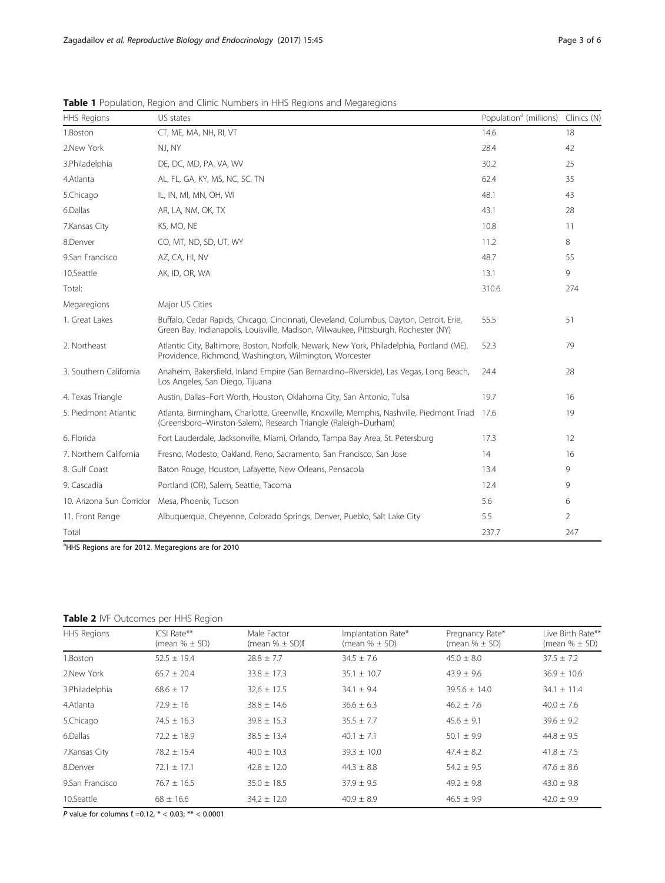| <b>HHS Regions</b>                             | US states                                                                                                                                                                      | Population <sup>a</sup> (millions) | Clinics (N)    |
|------------------------------------------------|--------------------------------------------------------------------------------------------------------------------------------------------------------------------------------|------------------------------------|----------------|
| 1.Boston                                       | CT, ME, MA, NH, RI, VT                                                                                                                                                         | 14.6                               | 18             |
| 2.New York                                     | NJ, NY                                                                                                                                                                         | 28.4                               | 42             |
| 3.Philadelphia                                 | DE, DC, MD, PA, VA, WV                                                                                                                                                         | 30.2                               | 25             |
| 4.Atlanta                                      | AL, FL, GA, KY, MS, NC, SC, TN                                                                                                                                                 | 62.4                               | 35             |
| 5.Chicago                                      | IL, IN, MI, MN, OH, WI                                                                                                                                                         | 48.1                               | 43             |
| 6.Dallas                                       | AR, LA, NM, OK, TX                                                                                                                                                             | 43.1                               | 28             |
| 7.Kansas City                                  | KS, MO, NE                                                                                                                                                                     | 10.8                               | 11             |
| 8.Denver                                       | CO, MT, ND, SD, UT, WY                                                                                                                                                         | 11.2                               | 8              |
| 9.San Francisco                                | AZ, CA, HI, NV                                                                                                                                                                 | 48.7                               | 55             |
| 10.Seattle                                     | AK, ID, OR, WA                                                                                                                                                                 | 13.1                               | 9              |
| Total:                                         |                                                                                                                                                                                | 310.6                              | 274            |
| Megaregions                                    | Major US Cities                                                                                                                                                                |                                    |                |
| 1. Great Lakes                                 | Buffalo, Cedar Rapids, Chicago, Cincinnati, Cleveland, Columbus, Dayton, Detroit, Erie,<br>Green Bay, Indianapolis, Louisville, Madison, Milwaukee, Pittsburgh, Rochester (NY) | 55.5                               | 51             |
| 2. Northeast                                   | Atlantic City, Baltimore, Boston, Norfolk, Newark, New York, Philadelphia, Portland (ME),<br>Providence, Richmond, Washington, Wilmington, Worcester                           | 52.3                               | 79             |
| 3. Southern California                         | Anaheim, Bakersfield, Inland Empire (San Bernardino-Riverside), Las Vegas, Long Beach,<br>Los Angeles, San Diego, Tijuana                                                      | 24.4                               | 28             |
| 4. Texas Triangle                              | Austin, Dallas-Fort Worth, Houston, Oklahoma City, San Antonio, Tulsa                                                                                                          | 19.7                               | 16             |
| 5. Piedmont Atlantic                           | Atlanta, Birmingham, Charlotte, Greenville, Knoxville, Memphis, Nashville, Piedmont Triad<br>(Greensboro-Winston-Salem), Research Triangle (Raleigh-Durham)                    | 17.6                               | 19             |
| 6. Florida                                     | Fort Lauderdale, Jacksonville, Miami, Orlando, Tampa Bay Area, St. Petersburg                                                                                                  | 17.3                               | 12             |
| 7. Northern California                         | Fresno, Modesto, Oakland, Reno, Sacramento, San Francisco, San Jose                                                                                                            | 14                                 | 16             |
| 8. Gulf Coast                                  | Baton Rouge, Houston, Lafayette, New Orleans, Pensacola                                                                                                                        | 13.4                               | 9              |
| 9. Cascadia                                    | Portland (OR), Salem, Seattle, Tacoma                                                                                                                                          | 12.4                               | 9              |
| 10. Arizona Sun Corridor Mesa, Phoenix, Tucson |                                                                                                                                                                                | 5.6                                | 6              |
| 11. Front Range                                | Albuquerque, Cheyenne, Colorado Springs, Denver, Pueblo, Salt Lake City                                                                                                        | 5.5                                | $\overline{2}$ |
| Total                                          |                                                                                                                                                                                | 237.7                              | 247            |

<span id="page-2-0"></span>Table 1 Population, Region and Clinic Numbers in HHS Regions and Megaregions

<sup>a</sup>HHS Regions are for 2012. Megaregions are for 2010

## Table 2 IVF Outcomes per HHS Region

| <b>HHS Regions</b> | ICSI Rate**<br>(mean $% \pm SD$ ) | Male Factor<br>(mean $% \pm SD$ ) $f$ | Implantation Rate*<br>(mean $% \pm SD$ ) | Pregnancy Rate*<br>(mean $% \pm SD$ ) | Live Birth Rate**<br>(mean $% \pm SD$ ) |
|--------------------|-----------------------------------|---------------------------------------|------------------------------------------|---------------------------------------|-----------------------------------------|
| 1.Boston           | $52.5 \pm 19.4$                   | $28.8 \pm 7.7$                        | $34.5 \pm 7.6$                           | $45.0 \pm 8.0$                        | $37.5 \pm 7.2$                          |
| 2. New York        | $65.7 + 20.4$                     | $33.8 \pm 17.3$                       | $35.1 \pm 10.7$                          | $43.9 \pm 9.6$                        | $36.9 \pm 10.6$                         |
| 3.Philadelphia     | $68.6 \pm 17$                     | $32,6 \pm 12.5$                       | $34.1 \pm 9.4$                           | $39.5.6 \pm 14.0$                     | $34.1 \pm 11.4$                         |
| 4.Atlanta          | $72.9 \pm 16$                     | $38.8 \pm 14.6$                       | $36.6 \pm 6.3$                           | $46.2 \pm 7.6$                        | $40.0 \pm 7.6$                          |
| 5.Chicago          | $74.5 \pm 16.3$                   | $39.8 \pm 15.3$                       | $35.5 \pm 7.7$                           | $45.6 \pm 9.1$                        | $39.6 \pm 9.2$                          |
| 6.Dallas           | $72.2 \pm 18.9$                   | $38.5 \pm 13.4$                       | $40.1 \pm 7.1$                           | $50.1 \pm 9.9$                        | $44.8 \pm 9.5$                          |
| 7.Kansas City      | $78.2 \pm 15.4$                   | $40.0 \pm 10.3$                       | $39.3 \pm 10.0$                          | $47.4 \pm 8.2$                        | $41.8 \pm 7.5$                          |
| 8.Denver           | $72.1 + 17.1$                     | $42.8 \pm 12.0$                       | $44.3 \pm 8.8$                           | $54.2 \pm 9.5$                        | $47.6 \pm 8.6$                          |
| 9.San Francisco    | $76.7 \pm 16.5$                   | $35.0 \pm 18.5$                       | $37.9 \pm 9.5$                           | $49.2 \pm 9.8$                        | $43.0 \pm 9.8$                          |
| 10.Seattle         | $68 \pm 16.6$                     | $34.2 \pm 12.0$                       | $40.9 \pm 8.9$                           | $46.5 \pm 9.9$                        | $42.0 \pm 9.9$                          |

P value for columns  $f = 0.12$ ,  $* < 0.03$ ;  $** < 0.0001$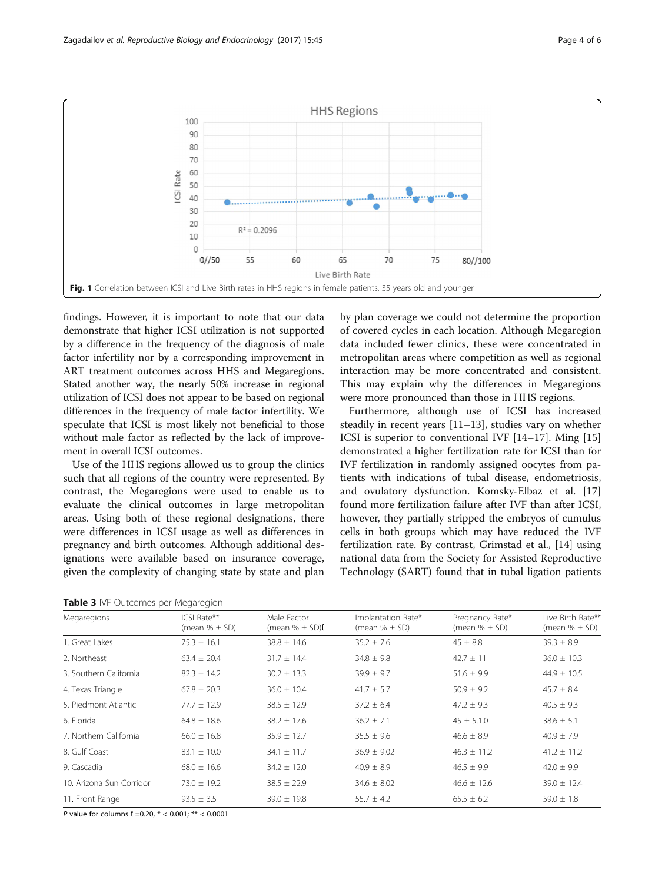<span id="page-3-0"></span>

findings. However, it is important to note that our data demonstrate that higher ICSI utilization is not supported by a difference in the frequency of the diagnosis of male factor infertility nor by a corresponding improvement in ART treatment outcomes across HHS and Megaregions. Stated another way, the nearly 50% increase in regional utilization of ICSI does not appear to be based on regional differences in the frequency of male factor infertility. We speculate that ICSI is most likely not beneficial to those without male factor as reflected by the lack of improvement in overall ICSI outcomes.

Use of the HHS regions allowed us to group the clinics such that all regions of the country were represented. By contrast, the Megaregions were used to enable us to evaluate the clinical outcomes in large metropolitan areas. Using both of these regional designations, there were differences in ICSI usage as well as differences in pregnancy and birth outcomes. Although additional designations were available based on insurance coverage, given the complexity of changing state by state and plan

|  |  |  | Table 3 IVF Outcomes per Megaregion |  |  |  |
|--|--|--|-------------------------------------|--|--|--|
|--|--|--|-------------------------------------|--|--|--|

by plan coverage we could not determine the proportion of covered cycles in each location. Although Megaregion data included fewer clinics, these were concentrated in metropolitan areas where competition as well as regional interaction may be more concentrated and consistent. This may explain why the differences in Megaregions were more pronounced than those in HHS regions.

Furthermore, although use of ICSI has increased steadily in recent years [[11](#page-5-0)–[13](#page-5-0)], studies vary on whether ICSI is superior to conventional IVF [[14](#page-5-0)–[17](#page-5-0)]. Ming [[15](#page-5-0)] demonstrated a higher fertilization rate for ICSI than for IVF fertilization in randomly assigned oocytes from patients with indications of tubal disease, endometriosis, and ovulatory dysfunction. Komsky-Elbaz et al. [[17](#page-5-0)] found more fertilization failure after IVF than after ICSI, however, they partially stripped the embryos of cumulus cells in both groups which may have reduced the IVF fertilization rate. By contrast, Grimstad et al., [\[14](#page-5-0)] using national data from the Society for Assisted Reproductive Technology (SART) found that in tubal ligation patients

| Megaregions              | ICSI Rate**<br>(mean $% \pm SD$ ) | Male Factor<br>(mean $% \pm SD$ ) $f$ | Implantation Rate*<br>(mean $% \pm SD$ ) | Pregnancy Rate*<br>(mean $% \pm SD$ ) | Live Birth Rate**<br>(mean $% \pm SD$ ) |
|--------------------------|-----------------------------------|---------------------------------------|------------------------------------------|---------------------------------------|-----------------------------------------|
| 1. Great Lakes           | $75.3 \pm 16.1$                   | $38.8 \pm 14.6$                       | $35.2 \pm 7.6$                           | $45 \pm 8.8$                          | $39.3 \pm 8.9$                          |
| 2. Northeast             | $63.4 \pm 20.4$                   | $31.7 \pm 14.4$                       | $34.8 \pm 9.8$                           | $42.7 \pm 11$                         | $36.0 \pm 10.3$                         |
| 3. Southern California   | $82.3 \pm 14.2$                   | $30.2 \pm 13.3$                       | $39.9 \pm 9.7$                           | $51.6 \pm 9.9$                        | $44.9 \pm 10.5$                         |
| 4. Texas Triangle        | $67.8 \pm 20.3$                   | $36.0 \pm 10.4$                       | $41.7 \pm 5.7$                           | $50.9 \pm 9.2$                        | $45.7 \pm 8.4$                          |
| 5. Piedmont Atlantic     | $77.7 \pm 12.9$                   | $38.5 \pm 12.9$                       | $37.2 \pm 6.4$                           | $47.2 \pm 9.3$                        | $40.5 + 9.3$                            |
| 6. Florida               | $64.8 \pm 18.6$                   | $38.2 + 17.6$                         | $36.2 + 7.1$                             | $45 \pm 5.1.0$                        | $38.6 \pm 5.1$                          |
| 7. Northern California   | $66.0 \pm 16.8$                   | $35.9 \pm 12.7$                       | $35.5 \pm 9.6$                           | $46.6 \pm 8.9$                        | $40.9 \pm 7.9$                          |
| 8. Gulf Coast            | $83.1 \pm 10.0$                   | $34.1 \pm 11.7$                       | $36.9 \pm 9.02$                          | $46.3 \pm 11.2$                       | $41.2 \pm 11.2$                         |
| 9. Cascadia              | $68.0 \pm 16.6$                   | $34.2 \pm 12.0$                       | $40.9 \pm 8.9$                           | $46.5 \pm 9.9$                        | $42.0 \pm 9.9$                          |
| 10. Arizona Sun Corridor | $73.0 \pm 19.2$                   | $38.5 \pm 22.9$                       | $34.6 \pm 8.02$                          | $46.6 \pm 12.6$                       | $39.0 \pm 12.4$                         |
| 11. Front Range          | $93.5 \pm 3.5$                    | $39.0 \pm 19.8$                       | $55.7 \pm 4.2$                           | $65.5 \pm 6.2$                        | $59.0 \pm 1.8$                          |

P value for columns ƭ =0.20, \* < 0.001; \*\* < 0.0001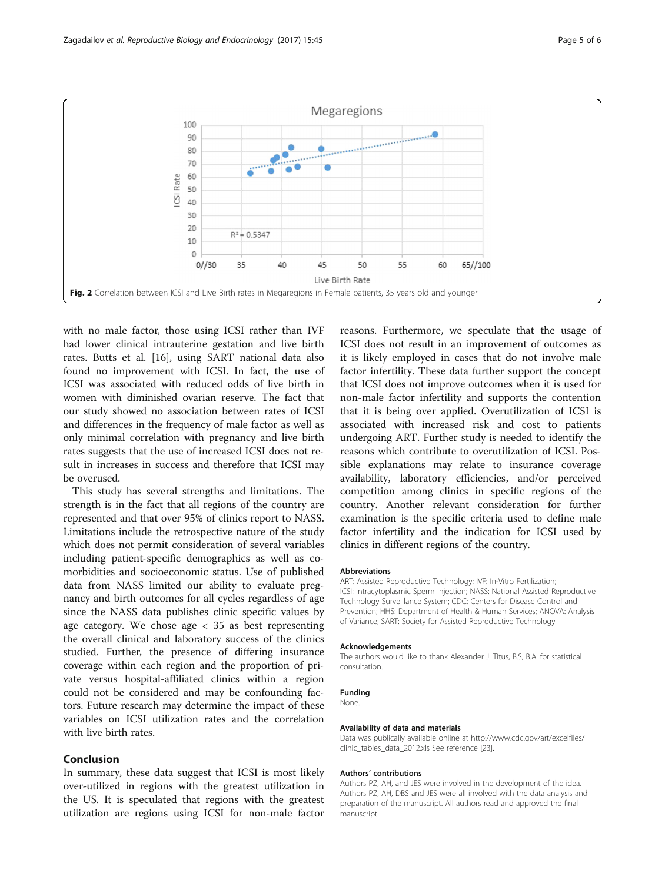<span id="page-4-0"></span>

with no male factor, those using ICSI rather than IVF had lower clinical intrauterine gestation and live birth rates. Butts et al. [[16\]](#page-5-0), using SART national data also found no improvement with ICSI. In fact, the use of ICSI was associated with reduced odds of live birth in women with diminished ovarian reserve. The fact that our study showed no association between rates of ICSI and differences in the frequency of male factor as well as only minimal correlation with pregnancy and live birth rates suggests that the use of increased ICSI does not result in increases in success and therefore that ICSI may be overused.

This study has several strengths and limitations. The strength is in the fact that all regions of the country are represented and that over 95% of clinics report to NASS. Limitations include the retrospective nature of the study which does not permit consideration of several variables including patient-specific demographics as well as comorbidities and socioeconomic status. Use of published data from NASS limited our ability to evaluate pregnancy and birth outcomes for all cycles regardless of age since the NASS data publishes clinic specific values by age category. We chose age  $\langle 35 \rangle$  as best representing the overall clinical and laboratory success of the clinics studied. Further, the presence of differing insurance coverage within each region and the proportion of private versus hospital-affiliated clinics within a region could not be considered and may be confounding factors. Future research may determine the impact of these variables on ICSI utilization rates and the correlation with live birth rates.

## Conclusion

In summary, these data suggest that ICSI is most likely over-utilized in regions with the greatest utilization in the US. It is speculated that regions with the greatest utilization are regions using ICSI for non-male factor reasons. Furthermore, we speculate that the usage of ICSI does not result in an improvement of outcomes as it is likely employed in cases that do not involve male factor infertility. These data further support the concept that ICSI does not improve outcomes when it is used for non-male factor infertility and supports the contention that it is being over applied. Overutilization of ICSI is associated with increased risk and cost to patients undergoing ART. Further study is needed to identify the reasons which contribute to overutilization of ICSI. Possible explanations may relate to insurance coverage availability, laboratory efficiencies, and/or perceived competition among clinics in specific regions of the country. Another relevant consideration for further examination is the specific criteria used to define male factor infertility and the indication for ICSI used by clinics in different regions of the country.

#### Abbreviations

ART: Assisted Reproductive Technology; IVF: In-Vitro Fertilization; ICSI: Intracytoplasmic Sperm Injection; NASS: National Assisted Reproductive Technology Surveillance System; CDC: Centers for Disease Control and Prevention; HHS: Department of Health & Human Services; ANOVA: Analysis of Variance; SART: Society for Assisted Reproductive Technology

#### Acknowledgements

The authors would like to thank Alexander J. Titus, B.S, B.A. for statistical consultation.

### Funding

None.

#### Availability of data and materials

Data was publically available online at [http://www.cdc.gov/art/excelfiles/](http://www.cdc.gov/art/excelfiles/clinic_tables_data_2012.xls) [clinic\\_tables\\_data\\_2012.xls](http://www.cdc.gov/art/excelfiles/clinic_tables_data_2012.xls) See reference [\[23\]](#page-5-0).

#### Authors' contributions

Authors PZ, AH, and JES were involved in the development of the idea. Authors PZ, AH, DBS and JES were all involved with the data analysis and preparation of the manuscript. All authors read and approved the final manuscript.